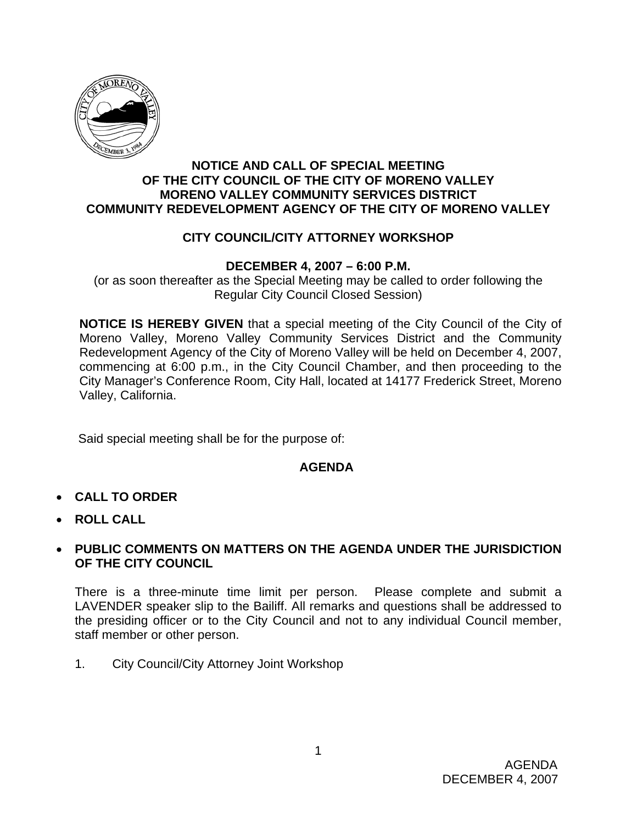

#### **NOTICE AND CALL OF SPECIAL MEETING OF THE CITY COUNCIL OF THE CITY OF MORENO VALLEY MORENO VALLEY COMMUNITY SERVICES DISTRICT COMMUNITY REDEVELOPMENT AGENCY OF THE CITY OF MORENO VALLEY**

## **CITY COUNCIL/CITY ATTORNEY WORKSHOP**

### **DECEMBER 4, 2007 – 6:00 P.M.**

(or as soon thereafter as the Special Meeting may be called to order following the Regular City Council Closed Session)

**NOTICE IS HEREBY GIVEN** that a special meeting of the City Council of the City of Moreno Valley, Moreno Valley Community Services District and the Community Redevelopment Agency of the City of Moreno Valley will be held on December 4, 2007, commencing at 6:00 p.m., in the City Council Chamber, and then proceeding to the City Manager's Conference Room, City Hall, located at 14177 Frederick Street, Moreno Valley, California.

Said special meeting shall be for the purpose of:

### **AGENDA**

- **CALL TO ORDER**
- **ROLL CALL**

#### • **PUBLIC COMMENTS ON MATTERS ON THE AGENDA UNDER THE JURISDICTION OF THE CITY COUNCIL**

There is a three-minute time limit per person. Please complete and submit a LAVENDER speaker slip to the Bailiff. All remarks and questions shall be addressed to the presiding officer or to the City Council and not to any individual Council member, staff member or other person.

1. City Council/City Attorney Joint Workshop